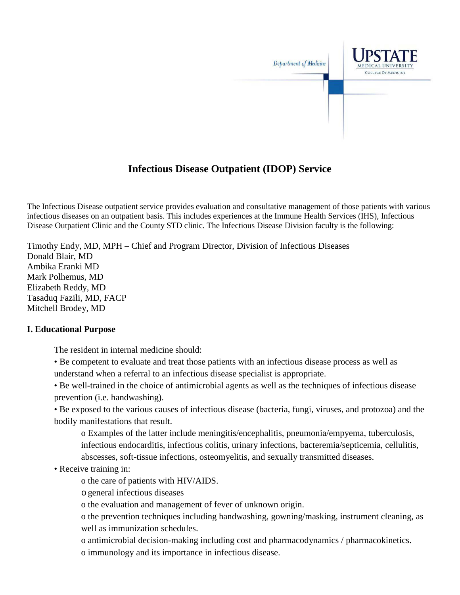

# **Infectious Disease Outpatient (IDOP) Service**

The Infectious Disease outpatient service provides evaluation and consultative management of those patients with various infectious diseases on an outpatient basis. This includes experiences at the Immune Health Services (IHS), Infectious Disease Outpatient Clinic and the County STD clinic. The Infectious Disease Division faculty is the following:

Timothy Endy, MD, MPH – Chief and Program Director, Division of Infectious Diseases Donald Blair, MD Ambika Eranki MD Mark Polhemus, MD Elizabeth Reddy, MD Tasaduq Fazili, MD, FACP Mitchell Brodey, MD

### **I. Educational Purpose**

The resident in internal medicine should:

- Be competent to evaluate and treat those patients with an infectious disease process as well as understand when a referral to an infectious disease specialist is appropriate.
- Be well-trained in the choice of antimicrobial agents as well as the techniques of infectious disease prevention (i.e. handwashing).

• Be exposed to the various causes of infectious disease (bacteria, fungi, viruses, and protozoa) and the bodily manifestations that result.

o Examples of the latter include meningitis/encephalitis, pneumonia/empyema, tuberculosis, infectious endocarditis, infectious colitis, urinary infections, bacteremia/septicemia, cellulitis, abscesses, soft-tissue infections, osteomyelitis, and sexually transmitted diseases.

- Receive training in:
	- o the care of patients with HIV/AIDS.
	- ogeneral infectious diseases
	- o the evaluation and management of fever of unknown origin.

o the prevention techniques including handwashing, gowning/masking, instrument cleaning, as well as immunization schedules.

o antimicrobial decision-making including cost and pharmacodynamics / pharmacokinetics. o immunology and its importance in infectious disease.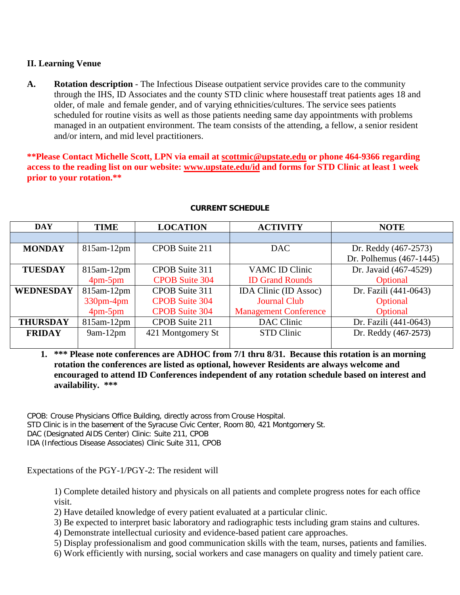### **II. Learning Venue**

**A. Rotation description** - The Infectious Disease outpatient service provides care to the community through the IHS, ID Associates and the county STD clinic where housestaff treat patients ages 18 and older, of male and female gender, and of varying ethnicities/cultures. The service sees patients scheduled for routine visits as well as those patients needing same day appointments with problems managed in an outpatient environment. The team consists of the attending, a fellow, a senior resident and/or intern, and mid level practitioners.

**\*\*Please Contact Michelle Scott, LPN via email at [scottmic@upstate.edu](mailto:scottmic@upstate.edu) or phone 464-9366 regarding access to the reading list on our website: [www.upstate.edu/id](http://www.upstate.edu/id) and forms for STD Clinic at least 1 week prior to your rotation.\*\***

| <b>DAY</b>       | <b>TIME</b>                 | <b>LOCATION</b>       | <b>ACTIVITY</b>              | <b>NOTE</b>             |
|------------------|-----------------------------|-----------------------|------------------------------|-------------------------|
|                  |                             |                       |                              |                         |
| <b>MONDAY</b>    | $815$ am- $12$ pm           | CPOB Suite 211        | DAC.                         | Dr. Reddy (467-2573)    |
|                  |                             |                       |                              | Dr. Polhemus (467-1445) |
| <b>TUESDAY</b>   | $815$ am- $12$ pm           | CPOB Suite 311        | VAMC ID Clinic               | Dr. Javaid (467-4529)   |
|                  | $4 \text{pm} - 5 \text{pm}$ | <b>CPOB Suite 304</b> | <b>ID Grand Rounds</b>       | Optional                |
| <b>WEDNESDAY</b> | $815$ am- $12$ pm           | CPOB Suite 311        | <b>IDA Clinic (ID Assoc)</b> | Dr. Fazili (441-0643)   |
|                  | $330$ pm- $4$ pm            | <b>CPOB Suite 304</b> | <b>Journal Club</b>          | Optional                |
|                  | $4 \text{pm} - 5 \text{pm}$ | <b>CPOB Suite 304</b> | <b>Management Conference</b> | Optional                |
| <b>THURSDAY</b>  | $815$ am- $12$ pm           | CPOB Suite 211        | DAC Clinic                   | Dr. Fazili (441-0643)   |
| <b>FRIDAY</b>    | $9am-12pm$                  | 421 Montgomery St     | STD Clinic                   | Dr. Reddy (467-2573)    |
|                  |                             |                       |                              |                         |

#### **CURRENT SCHEDULE**

**1. \*\*\* Please note conferences are ADHOC from 7/1 thru 8/31. Because this rotation is an morning rotation the conferences are listed as optional, however Residents are always welcome and encouraged to attend ID Conferences independent of any rotation schedule based on interest and availability. \*\*\***

CPOB: Crouse Physicians Office Building, directly across from Crouse Hospital.

STD Clinic is in the basement of the Syracuse Civic Center, Room 80, 421 Montgomery St.

DAC (Designated AIDS Center) Clinic: Suite 211, CPOB

IDA (Infectious Disease Associates) Clinic Suite 311, CPOB

Expectations of the PGY-1/PGY-2: The resident will

1) Complete detailed history and physicals on all patients and complete progress notes for each office visit.

2) Have detailed knowledge of every patient evaluated at a particular clinic.

- 3) Be expected to interpret basic laboratory and radiographic tests including gram stains and cultures.
- 4) Demonstrate intellectual curiosity and evidence-based patient care approaches.
- 5) Display professionalism and good communication skills with the team, nurses, patients and families.
- 6) Work efficiently with nursing, social workers and case managers on quality and timely patient care.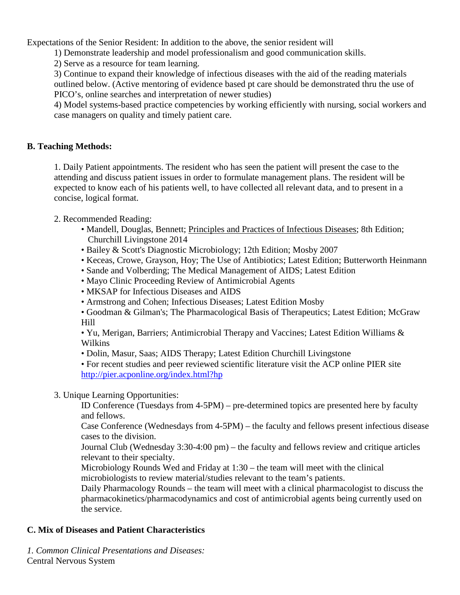Expectations of the Senior Resident: In addition to the above, the senior resident will

1) Demonstrate leadership and model professionalism and good communication skills.

2) Serve as a resource for team learning.

3) Continue to expand their knowledge of infectious diseases with the aid of the reading materials outlined below. (Active mentoring of evidence based pt care should be demonstrated thru the use of PICO's, online searches and interpretation of newer studies)

4) Model systems-based practice competencies by working efficiently with nursing, social workers and case managers on quality and timely patient care.

### **B. Teaching Methods:**

1. Daily Patient appointments. The resident who has seen the patient will present the case to the attending and discuss patient issues in order to formulate management plans. The resident will be expected to know each of his patients well, to have collected all relevant data, and to present in a concise, logical format.

### 2. Recommended Reading:

- Mandell, Douglas, Bennett; Principles and Practices of Infectious Diseases; 8th Edition; Churchill Livingstone 2014
- Bailey & Scott's Diagnostic Microbiology; 12th Edition; Mosby 2007
- Keceas, Crowe, Grayson, Hoy; The Use of Antibiotics; Latest Edition; Butterworth Heinmann
- Sande and Volberding; The Medical Management of AIDS; Latest Edition
- Mayo Clinic Proceeding Review of Antimicrobial Agents
- MKSAP for Infectious Diseases and AIDS
- Armstrong and Cohen; Infectious Diseases; Latest Edition Mosby
- Goodman & Gilman's; The Pharmacological Basis of Therapeutics; Latest Edition; McGraw Hill

• Yu, Merigan, Barriers; Antimicrobial Therapy and Vaccines; Latest Edition Williams & Wilkins

• Dolin, Masur, Saas; AIDS Therapy; Latest Edition Churchill Livingstone

• For recent studies and peer reviewed scientific literature visit the ACP online PIER site <http://pier.acponline.org/index.html?hp>

### 3. Unique Learning Opportunities:

ID Conference (Tuesdays from 4-5PM) – pre-determined topics are presented here by faculty and fellows.

Case Conference (Wednesdays from 4-5PM) – the faculty and fellows present infectious disease cases to the division.

Journal Club (Wednesday 3:30-4:00 pm) – the faculty and fellows review and critique articles relevant to their specialty.

Microbiology Rounds Wed and Friday at 1:30 – the team will meet with the clinical microbiologists to review material/studies relevant to the team's patients.

Daily Pharmacology Rounds – the team will meet with a clinical pharmacologist to discuss the pharmacokinetics/pharmacodynamics and cost of antimicrobial agents being currently used on the service.

## **C. Mix of Diseases and Patient Characteristics**

*1. Common Clinical Presentations and Diseases:* Central Nervous System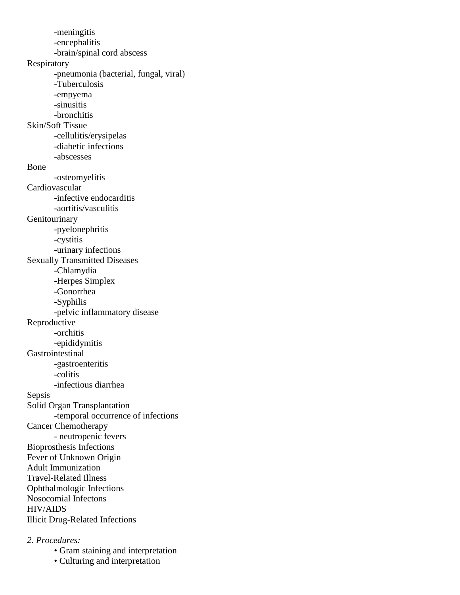-meningitis -encephalitis -brain/spinal cord abscess Respiratory -pneumonia (bacterial, fungal, viral) -Tuberculosis -empyema -sinusitis -bronchitis Skin/Soft Tissue -cellulitis/erysipelas -diabetic infections -abscesses Bone -osteomyelitis Cardiovascular -infective endocarditis -aortitis/vasculitis Genitourinary -pyelonephritis -cystitis -urinary infections Sexually Transmitted Diseases -Chlamydia -Herpes Simplex -Gonorrhea -Syphilis -pelvic inflammatory disease Reproductive -orchitis -epididymitis Gastrointestinal -gastroenteritis -colitis -infectious diarrhea Sepsis Solid Organ Transplantation -temporal occurrence of infections Cancer Chemotherapy - neutropenic fevers Bioprosthesis Infections Fever of Unknown Origin Adult Immunization Travel-Related Illness Ophthalmologic Infections Nosocomial Infectons HIV/AIDS Illicit Drug-Related Infections

#### *2. Procedures:*

- Gram staining and interpretation
- Culturing and interpretation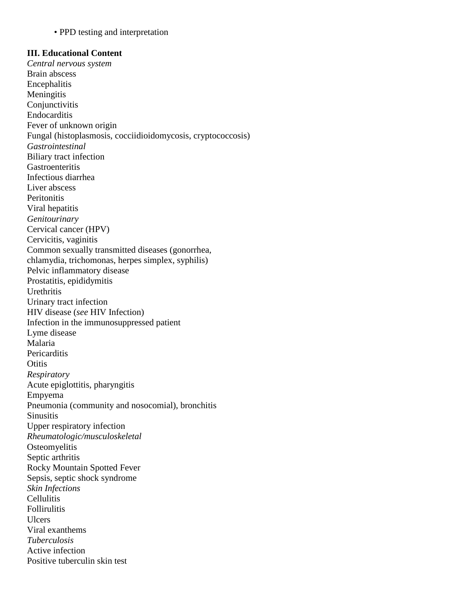• PPD testing and interpretation

#### **III. Educational Content**

*Central nervous system* Brain abscess **Encephalitis Meningitis Conjunctivitis** Endocarditis Fever of unknown origin Fungal (histoplasmosis, cocciidioidomycosis, cryptococcosis) *Gastrointestinal* Biliary tract infection **Gastroenteritis** Infectious diarrhea Liver abscess **Peritonitis** Viral hepatitis *Genitourinary* Cervical cancer (HPV) Cervicitis, vaginitis Common sexually transmitted diseases (gonorrhea, chlamydia, trichomonas, herpes simplex, syphilis) Pelvic inflammatory disease Prostatitis, epididymitis Urethritis Urinary tract infection HIV disease (*see* HIV Infection) Infection in the immunosuppressed patient Lyme disease Malaria **Pericarditis Otitis** *Respiratory* Acute epiglottitis, pharyngitis Empyema Pneumonia (community and nosocomial), bronchitis **Sinusitis** Upper respiratory infection *Rheumatologic/musculoskeletal* **Osteomyelitis** Septic arthritis Rocky Mountain Spotted Fever Sepsis, septic shock syndrome *Skin Infections* **Cellulitis** Follirulitis **Ulcers** Viral exanthems *Tuberculosis* Active infection Positive tuberculin skin test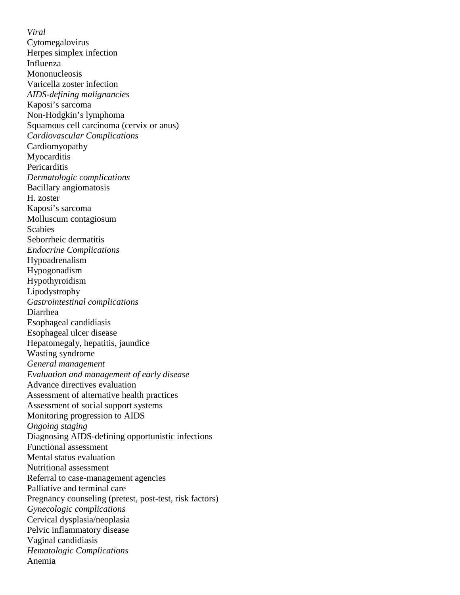*Viral* Cytomegalovirus Herpes simplex infection Influenza Mononucleosis Varicella zoster infection *AIDS-defining malignancies* Kaposi's sarcoma Non-Hodgkin's lymphoma Squamous cell carcinoma (cervix or anus) *Cardiovascular Complications* Cardiomyopathy **Myocarditis Pericarditis** *Dermatologic complications* Bacillary angiomatosis H. zoster Kaposi's sarcoma Molluscum contagiosum Scabies Seborrheic dermatitis *Endocrine Complications* Hypoadrenalism Hypogonadism Hypothyroidism Lipodystrophy *Gastrointestinal complications* Diarrhea Esophageal candidiasis Esophageal ulcer disease Hepatomegaly, hepatitis, jaundice Wasting syndrome *General management Evaluation and management of early disease* Advance directives evaluation Assessment of alternative health practices Assessment of social support systems Monitoring progression to AIDS *Ongoing staging* Diagnosing AIDS-defining opportunistic infections Functional assessment Mental status evaluation Nutritional assessment Referral to case-management agencies Palliative and terminal care Pregnancy counseling (pretest, post-test, risk factors) *Gynecologic complications* Cervical dysplasia/neoplasia Pelvic inflammatory disease Vaginal candidiasis *Hematologic Complications* Anemia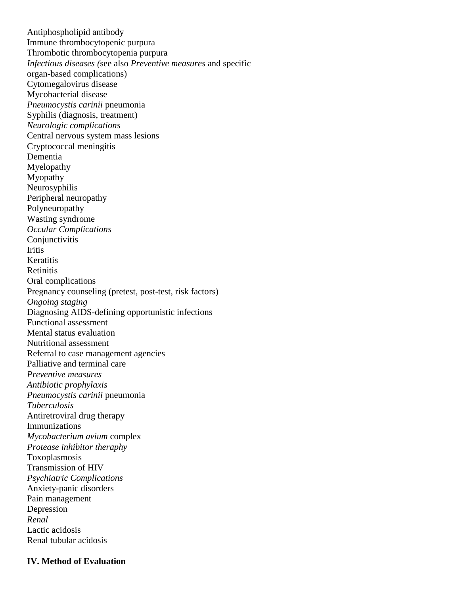Antiphospholipid antibody Immune thrombocytopenic purpura Thrombotic thrombocytopenia purpura *Infectious diseases (*see also *Preventive measures* and specific organ-based complications) Cytomegalovirus disease Mycobacterial disease *Pneumocystis carinii* pneumonia Syphilis (diagnosis, treatment) *Neurologic complications* Central nervous system mass lesions Cryptococcal meningitis Dementia Myelopathy Myopathy Neurosyphilis Peripheral neuropathy Polyneuropathy Wasting syndrome *Occular Complications* Conjunctivitis **Iritis Keratitis** Retinitis Oral complications Pregnancy counseling (pretest, post-test, risk factors) *Ongoing staging* Diagnosing AIDS-defining opportunistic infections Functional assessment Mental status evaluation Nutritional assessment Referral to case management agencies Palliative and terminal care *Preventive measures Antibiotic prophylaxis Pneumocystis carinii* pneumonia *Tuberculosis* Antiretroviral drug therapy Immunizations *Mycobacterium avium* complex *Protease inhibitor theraphy* Toxoplasmosis Transmission of HIV *Psychiatric Complications* Anxiety-panic disorders Pain management Depression *Renal* Lactic acidosis Renal tubular acidosis

#### **IV. Method of Evaluation**